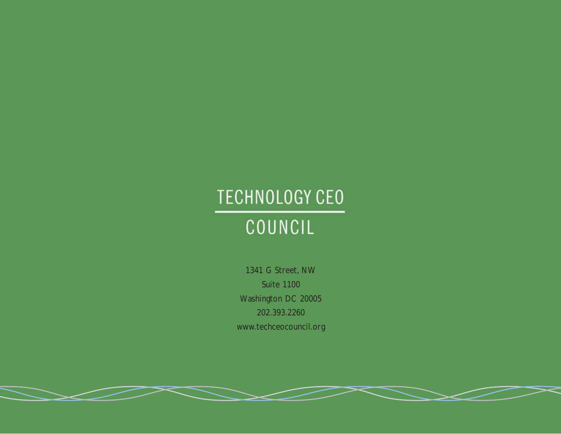# **TECHNOLOGY CEO** COUNCIL

1341 G Street, NW Suite 1100 Washington DC 20005 202.393.2260 www.techceocouncil.org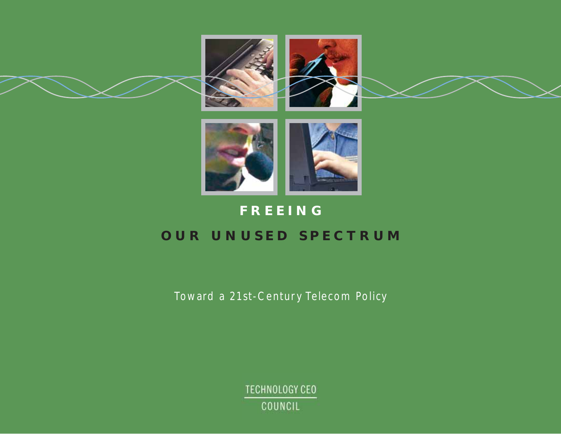



## **FREEING**

## **OUR UNUSED SPECTRUM**

Toward a 21st-Century Telecom Policy

TECHNOLOGY CEO COUNCIL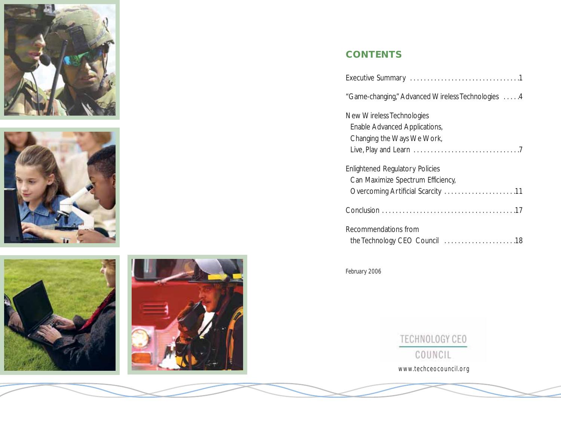







## **CONTENTS**

| "Game-changing," Advanced Wireless Technologies  4                                                               |
|------------------------------------------------------------------------------------------------------------------|
| New Wireless Technologies<br>Enable Advanced Applications,<br>Changing the Ways We Work,                         |
| <b>Enlightened Regulatory Policies</b><br>Can Maximize Spectrum Efficiency,<br>Overcoming Artificial Scarcity 11 |
|                                                                                                                  |
| Recommendations from                                                                                             |

*February 2006*

TECHNOLOGY CEO COUNCIL www.techceocouncil.org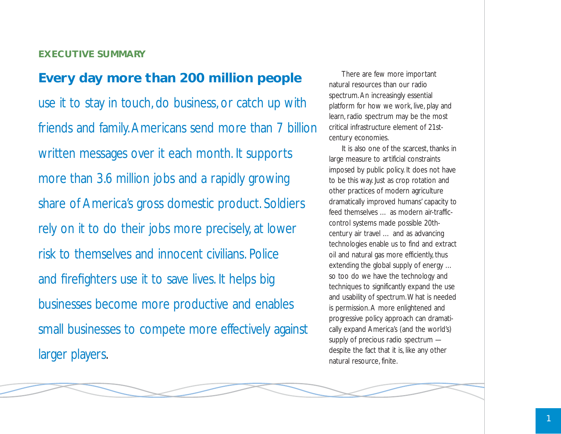#### **EXECUTIVE SUMMARY**

## **Every day more than 200 million people**

use it to stay in touch, do business, or catch up with friends and family. Americans send more than 7 billion written messages over it each month. It supports more than 3.6 million jobs and a rapidly growing share of America's gross domestic product. Soldiers rely on it to do their jobs more precisely, at lower risk to themselves and innocent civilians. Police and firefighters use it to save lives. It helps big businesses become more productive and enables small businesses to compete more effectively against larger players.

There are few more important natural resources than our radio spectrum. An increasingly essential platform for how we work, live, play and learn, radio spectrum may be the most critical infrastructure element of 21stcentury economies.

It is also one of the scarcest, thanks in large measure to artificial constraints imposed by public policy. It does not have to be this way. Just as crop rotation and other practices of modern agriculture dramatically improved humans' capacity to feed themselves … as modern air-trafficcontrol systems made possible 20thcentury air travel … and as advancing technologies enable us to find and extract oil and natural gas more efficiently, thus extending the global supply of energy … so too do we have the technology and techniques to significantly expand the use and usability of spectrum.What is needed is permission. A more enlightened and progressive policy approach can dramatically expand America's (and the world's) supply of precious radio spectrum despite the fact that it is, like any other natural resource, finite.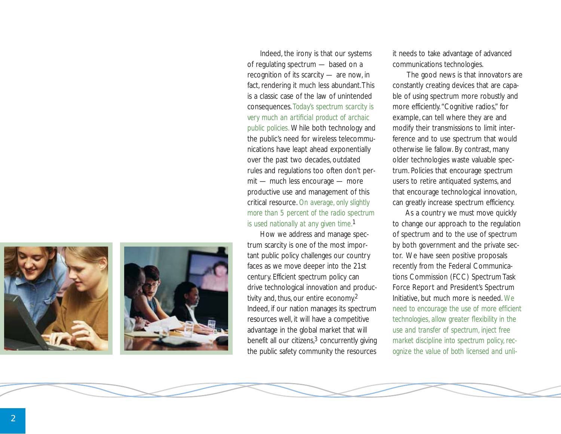



Indeed, the irony is that our systems of regulating spectrum — based on a recognition of its scarcity — are now, in fact, rendering it much less abundant.This is a classic case of the law of unintended consequences. *Today's spectrum scarcity is very much an artificial product of archaic public policies.* While both technology and the public's need for wireless telecommunications have leapt ahead exponentially over the past two decades, outdated rules and regulations too often don't permit — much less encourage — more productive use and management of this critical resource. *On average, only slightly more than 5 percent of the radio spectrum is used nationally at any given time.* 1

How we address and manage spectrum scarcity is one of the most important public policy challenges our country faces as we move deeper into the 21st century. Efficient spectrum policy can drive technological innovation and productivity and, thus, our entire economy.2 Indeed, if our nation manages its spectrum resources well, it will have a competitive advantage in the global market that will benefit all our citizens, 3 concurrently giving the public safety community the resources it needs to take advantage of advanced communications technologies.

The good news is that innovators are constantly creating devices that are capable of using spectrum more robustly and more efficiently."Cognitive radios," for example, can tell where they are and modify their transmissions to limit interference and to use spectrum that would otherwise lie fallow. By contrast, many older technologies waste valuable spectrum. Policies that encourage spectrum users to retire antiquated systems, and that encourage technological innovation, can greatly increase spectrum efficiency.

As a country we must move quickly to change our approach to the regulation of spectrum and to the use of spectrum by both government and the private sector. We have seen positive proposals recently from the Federal Communications Commission (FCC) Spectrum Task Force Report and President's Spectrum Initiative, but much more is needed. *We need to encourage the use of more efficient technologies, allow greater flexibility in the use and transfer of spectrum, inject free market discipline into spectrum policy, recognize the value of both licensed and unli-*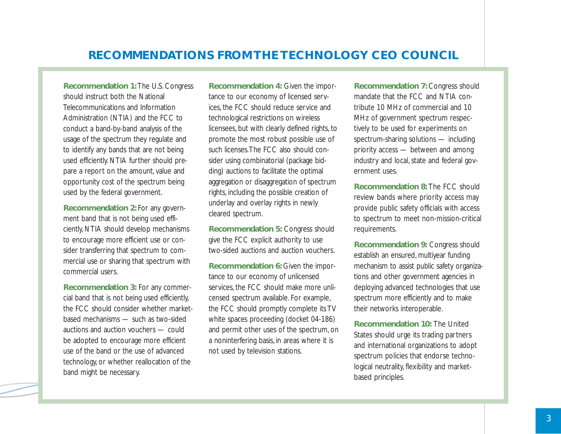## **RECOMMENDATIONS FROM THE TECHNOLOGY CEO COUNCIL**

**Recommendation 1:** The U.S. Congress should instruct both the National Telecommunications and Information Administration (NTIA) and the FCC to conduct a band-by-band analysis of the usage of the spectrum they regulate and to identify any bands that are not being used efficiently. NTIA further should prepare a report on the amount, value and opportunity cost of the spectrum being used by the federal government.

**Recommendation 2:** For any government band that is not being used efficiently, NTIA should develop mechanisms to encourage more efficient use or consider transferring that spectrum to commercial use or sharing that spectrum with commercial users.

**Recommendation 3:** For any commercial band that is not being used efficiently, the FCC should consider whether marketbased mechanisms — such as two-sided auctions and auction vouchers — could be adopted to encourage more efficient use of the band or the use of advanced technology, or whether reallocation of the band might be necessary.

**Recommendation 4:** Given the importance to our economy of licensed services, the FCC should reduce service and technological restrictions on wireless licensees, but with clearly defined rights, to promote the most robust possible use of such licenses.The FCC also should consider using combinatorial (package bidding) auctions to facilitate the optimal aggregation or disaggregation of spectrum rights, including the possible creation of underlay and overlay rights in newly cleared spectrum.

**Recommendation 5:** Congress should give the FCC explicit authority to use two-sided auctions and auction vouchers.

**Recommendation 6:** Given the importance to our economy of unlicensed services, the FCC should make more unlicensed spectrum available. For example, the FCC should promptly complete its TV white spaces proceeding (docket 04-186) and permit other uses of the spectrum, on a noninterfering basis, in areas where it is not used by television stations.

**Recommendation 7:** Congress should mandate that the FCC and NTIA contribute 10 MHz of commercial and 10 MHz of government spectrum respectively to be used for experiments on spectrum-sharing solutions — including priority access — between and among industry and local, state and federal government uses.

**Recommendation 8:** The FCC should review bands where priority access may provide public safety officials with access to spectrum to meet non-mission-critical requirements.

**Recommendation 9:** Congress should establish an ensured, multiyear funding mechanism to assist public safety organizations and other government agencies in deploying advanced technologies that use spectrum more efficiently and to make their networks interoperable.

**Recommendation 10:** The United States should urge its trading partners and international organizations to adopt spectrum policies that endorse technological neutrality, flexibility and marketbased principles.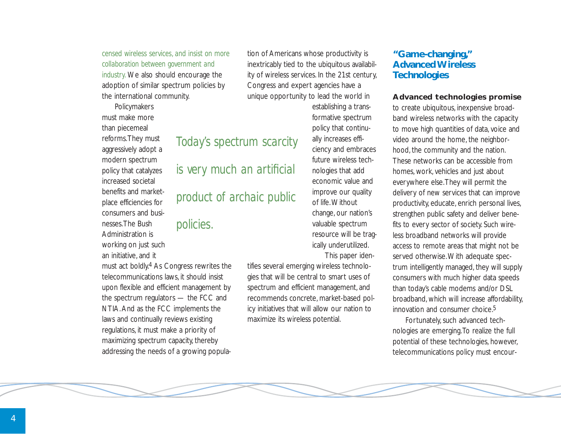*censed wireless services, and insist on more collaboration between government and industry.* We also should encourage the adoption of similar spectrum policies by the international community.

Policymakers must make more than piecemeal reforms.They must aggressively adopt a modern spectrum policy that catalyzes increased societal benefits and marketplace efficiencies for consumers and businesses.The Bush Administration is working on just such an initiative, and it

must act boldly.4 As Congress rewrites the telecommunications laws, it should insist upon flexible and efficient management by the spectrum regulators — the FCC and NTIA. And as the FCC implements the laws and continually reviews existing regulations, it must make a priority of maximizing spectrum capacity, thereby addressing the needs of a growing population of Americans whose productivity is inextricably tied to the ubiquitous availability of wireless services. In the 21st century, Congress and expert agencies have a unique opportunity to lead the world in

## *Today's spectrum scarcity*

*is very much an artificial*

*product of archaic public*

## *policies.*

establishing a transformative spectrum policy that continually increases efficiency and embraces future wireless technologies that add economic value and improve our quality of life.Without change, our nation's valuable spectrum resource will be tragically underutilized. This paper iden-

tifies several emerging wireless technologies that will be central to smart uses of spectrum and efficient management, and recommends concrete, market-based policy initiatives that will allow our nation to maximize its wireless potential.

#### **"Game-changing," Advanced Wireless Technologies**

#### **Advanced technologies promise**

to create ubiquitous, inexpensive broadband wireless networks with the capacity to move high quantities of data, voice and video around the home, the neighborhood, the community and the nation. These networks can be accessible from homes, work, vehicles and just about everywhere else.They will permit the delivery of new services that can improve productivity, educate, enrich personal lives, strengthen public safety and deliver benefits to every sector of society. Such wireless broadband networks will provide access to remote areas that might not be served otherwise.With adequate spectrum intelligently managed, they will supply consumers with much higher data speeds than today's cable modems and/or DSL broadband, which will increase affordability, innovation and consumer choice.<sup>5</sup>

Fortunately, such advanced technologies are emerging.To realize the full potential of these technologies, however, telecommunications policy must encour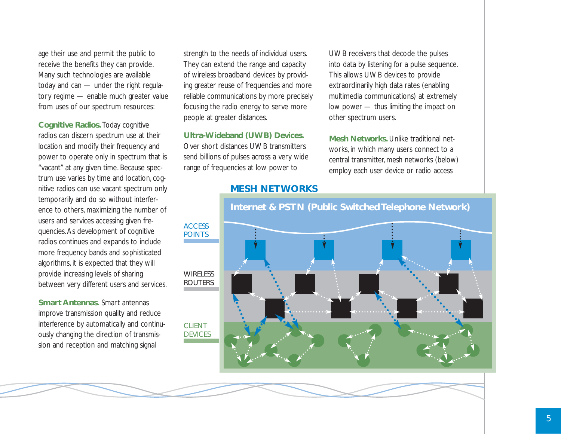age their use and permit the public to receive the benefits they can provide. Many such technologies are available today and can — under the right regulatory regime — enable much greater value from uses of our spectrum resources:

**Cognitive Radios.** Today cognitive radios can discern spectrum use at their location and modify their frequency and power to operate only in spectrum that is "vacant" at any given time. Because spectrum use varies by time and location, cognitive radios can use vacant spectrum only temporarily and do so without interference to others, maximizing the number of users and services accessing given frequencies. As development of cognitive radios continues and expands to include more frequency bands and sophisticated algorithms, it is expected that they will provide increasing levels of sharing between very different users and services.

**Smart Antennas.** Smart antennas improve transmission quality and reduce interference by automatically and continuously changing the direction of transmission and reception and matching signal

strength to the needs of individual users. They can extend the range and capacity of wireless broadband devices by providing greater reuse of frequencies and more reliable communications by more precisely focusing the radio energy to serve more people at greater distances.

#### **Ultra-Wideband (UWB) Devices.**

Over short distances UWB transmitters send billions of pulses across a very wide range of frequencies at low power to

UWB receivers that decode the pulses into data by listening for a pulse sequence. This allows UWB devices to provide extraordinarily high data rates (enabling multimedia communications) at extremely low power — thus limiting the impact on other spectrum users.

**Mesh Networks.** Unlike traditional networks, in which many users connect to a central transmitter, mesh networks (below) employ each user device or radio access

#### **MESH NETWORKS**

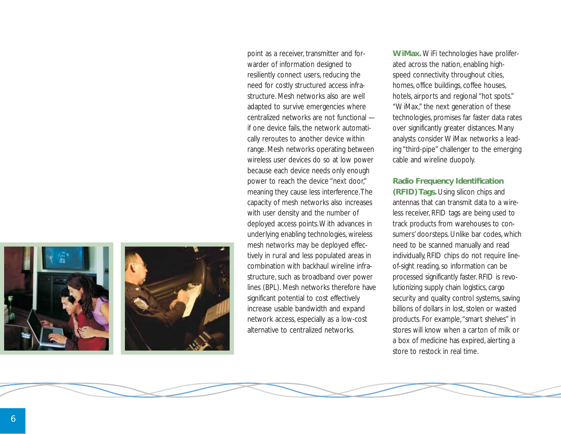



point as a receiver, transmitter and forwarder of information designed to resiliently connect users, reducing the need for costly structured access infrastructure. Mesh networks also are well adapted to survive emergencies where centralized networks are not functional if one device fails, the network automatically reroutes to another device within range. Mesh networks operating between wireless user devices do so at low power because each device needs only enough power to reach the device "next door," meaning they cause less interference.The capacity of mesh networks also increases with user density and the number of deployed access points.With advances in underlying enabling technologies, wireless mesh networks may be deployed effectively in rural and less populated areas in combination with backhaul wireline infrastructure, such as broadband over power lines (BPL). Mesh networks therefore have significant potential to cost effectively increase usable bandwidth and expand network access, especially as a low-cost alternative to centralized networks.

**WiMax.** WiFi technologies have proliferated across the nation, enabling highspeed connectivity throughout cities, homes, office buildings, coffee houses, hotels, airports and regional "hot spots." "WiMax," the next generation of these technologies, promises far faster data rates over significantly greater distances. Many analysts consider WiMax networks a leading "third-pipe" challenger to the emerging cable and wireline duopoly.

#### **Radio Frequency Identification**

**(RFID) Tags.** Using silicon chips and antennas that can transmit data to a wireless receiver, RFID tags are being used to track products from warehouses to consumers' doorsteps. Unlike bar codes, which need to be scanned manually and read individually, RFID chips do not require lineof-sight reading, so information can be processed significantly faster. RFID is revolutionizing supply chain logistics, cargo security and quality control systems, saving billions of dollars in lost, stolen or wasted products. For example,"smart shelves" in stores will know when a carton of milk or a box of medicine has expired, alerting a store to restock in real time.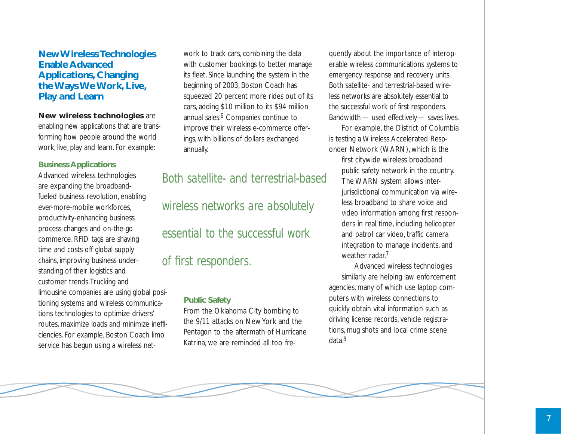#### **New Wireless Technologies Enable Advanced Applications, Changing the Ways We Work, Live, Play and Learn**

#### **New wireless technologies** are

enabling new applications that are transforming how people around the world work, live, play and learn. For example:

#### **Business Applications**

Advanced wireless technologies are expanding the broadbandfueled business revolution, enabling ever-more-mobile workforces, productivity-enhancing business process changes and on-the-go commerce. RFID tags are shaving time and costs off global supply chains, improving business understanding of their logistics and customer trends.Trucking and limousine companies are using global positioning systems and wireless communications technologies to optimize drivers' routes, maximize loads and minimize inefficiencies. For example, Boston Coach limo service has begun using a wireless network to track cars, combining the data with customer bookings to better manage its fleet. Since launching the system in the beginning of 2003, Boston Coach has squeezed 20 percent more rides out of its cars, adding \$10 million to its \$94 million annual sales.<sup>6</sup> Companies continue to improve their wireless e-commerce offerings, with billions of dollars exchanged annually.

## *Both satellite- and terrestrial-based wireless networks are absolutely*

*essential to the successful work* 

## *of first responders.*

#### **Public Safety**

From the Oklahoma City bombing to the 9/11 attacks on New York and the Pentagon to the aftermath of Hurricane Katrina, we are reminded all too frequently about the importance of interoperable wireless communications systems to emergency response and recovery units. Both satellite- and terrestrial-based wireless networks are absolutely essential to the successful work of first responders. Bandwidth — used effectively — saves lives.

For example, the District of Columbia is testing a Wireless Accelerated Responder Network (WARN), which is the

first citywide wireless broadband public safety network in the country. The WARN system allows interjurisdictional communication via wireless broadband to share voice and video information among first responders in real time, including helicopter and patrol car video, traffic camera integration to manage incidents, and weather radar.<sup>7</sup>

Advanced wireless technologies similarly are helping law enforcement agencies, many of which use laptop computers with wireless connections to quickly obtain vital information such as driving license records, vehicle registrations, mug shots and local crime scene data.8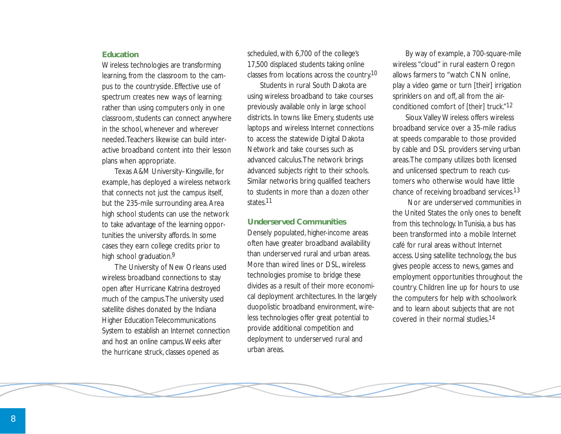#### **Education**

Wireless technologies are transforming learning, from the classroom to the campus to the countryside. Effective use of spectrum creates new ways of learning: rather than using computers only in one classroom, students can connect anywhere in the school, whenever and wherever needed.Teachers likewise can build interactive broadband content into their lesson plans when appropriate.

Texas A&M University–Kingsville, for example, has deployed a wireless network that connects not just the campus itself, but the 235-mile surrounding area. Area high school students can use the network to take advantage of the learning opportunities the university affords. In some cases they earn college credits prior to high school graduation.<sup>9</sup>

The University of New Orleans used wireless broadband connections to stay open after Hurricane Katrina destroyed much of the campus.The university used satellite dishes donated by the Indiana Higher Education Telecommunications System to establish an Internet connection and host an online campus.Weeks after the hurricane struck, classes opened as

scheduled, with 6,700 of the college's 17,500 displaced students taking online classes from locations across the country.10

Students in rural South Dakota are using wireless broadband to take courses previously available only in large school districts. In towns like Emery, students use laptops and wireless Internet connections to access the statewide Digital Dakota Network and take courses such as advanced calculus.The network brings advanced subjects right to their schools. Similar networks bring qualified teachers to students in more than a dozen other states.11

#### **Underserved Communities**

Densely populated, higher-income areas often have greater broadband availability than underserved rural and urban areas. More than wired lines or DSL, wireless technologies promise to bridge these divides as a result of their more economical deployment architectures. In the largely duopolistic broadband environment, wireless technologies offer great potential to provide additional competition and deployment to underserved rural and urban areas.

By way of example, a 700-square-mile wireless "cloud" in rural eastern Oregon allows farmers to "watch CNN online, play a video game or turn [their] irrigation sprinklers on and off, all from the airconditioned comfort of [their] truck."12

Sioux Valley Wireless offers wireless broadband service over a 35-mile radius at speeds comparable to those provided by cable and DSL providers serving urban areas.The company utilizes both licensed and unlicensed spectrum to reach customers who otherwise would have little chance of receiving broadband services.13

Nor are underserved communities in the United States the only ones to benefit from this technology. In Tunisia, a bus has been transformed into a mobile Internet café for rural areas without Internet access. Using satellite technology, the bus gives people access to news, games and employment opportunities throughout the country. Children line up for hours to use the computers for help with schoolwork and to learn about subjects that are not covered in their normal studies.14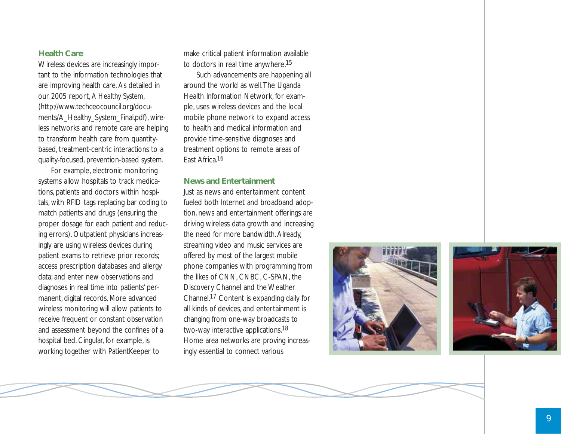#### **Health Care**

Wireless devices are increasingly important to the information technologies that are improving health care. As detailed in our 2005 report, *A Healthy System* , (http://www.techceocouncil.org/documents/A\_Healthy\_System\_Final.pdf), wireless networks and remote care are helping to transform health care from quantitybased, treatment-centric interactions to a quality-focused, prevention-based system.

For example, electronic monitoring systems allow hospitals to track medications, patients and doctors within hospitals, with RFID tags replacing bar coding to match patients and drugs (ensuring the proper dosage for each patient and reducing errors). Outpatient physicians increasingly are using wireless devices during patient exams to retrieve prior records; access prescription databases and allergy data; and enter new observations and diagnoses in real time into patients' permanent, digital records. More advanced wireless monitoring will allow patients to receive frequent or constant observation and assessment beyond the confines of a hospital bed. Cingular, for example, is working together with PatientKeeper to

make critical patient information available to doctors in real time anywhere.15

Such advancements are happening all around the world as well.The Uganda Health Information Network, for example, uses wireless devices and the local mobile phone network to expand access to health and medical information and provide time-sensitive diagnoses and treatment options to remote areas of East Africa.16

#### **News and Entertainment**

Just as news and entertainment content fueled both Internet and broadband adoption, news and entertainment offerings are driving wireless data growth and increasing the need for more bandwidth. Already, streaming video and music services are offered by most of the largest mobile phone companies with programming from the likes of CNN, CNBC, C-SPAN, the Discovery Channel and the Weather Channel.17 Content is expanding daily for all kinds of devices, and entertainment is changing from one-way broadcasts to two-way interactive applications.<sup>18</sup> Home area networks are proving increasingly essential to connect various





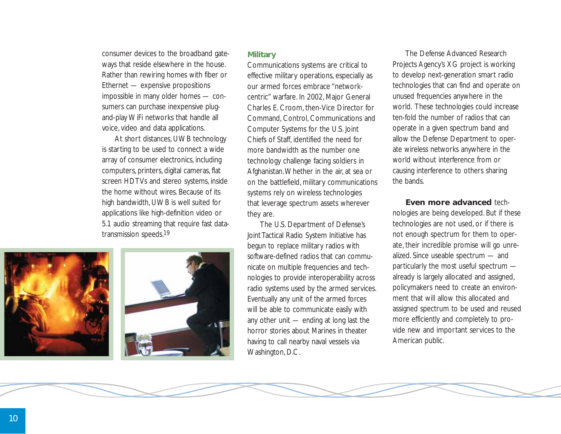consumer devices to the broadband gateways that reside elsewhere in the house. Rather than rewiring homes with fiber or Ethernet — expensive propositions impossible in many older homes — consumers can purchase inexpensive plugand-play WiFi networks that handle all voice, video and data applications.

At short distances, UWB technology is starting to be used to connect a wide array of consumer electronics, including computers, printers, digital cameras, flat screen HDTVs and stereo systems, inside the home without wires. Because of its high bandwidth, UWB is well suited for applications like high-definition video or 5.1 audio streaming that require fast datatransmission speeds.19





#### **Military**

Communications systems are critical to effective military operations, especially as our armed forces embrace "networkcentric" warfare. In 2002, Major General Charles E. Croom, then-Vice Director for Command, Control, Communications and Computer Systems for the U.S. Joint Chiefs of Staff, identified the need for more bandwidth as the number one technology challenge facing soldiers in Afghanistan.Whether in the air, at sea or on the battlefield, military communications systems rely on wireless technologies that leverage spectrum assets wherever they are.

The U.S. Department of Defense's Joint Tactical Radio System Initiative has begun to replace military radios with software-defined radios that can communicate on multiple frequencies and technologies to provide interoperability across radio systems used by the armed services. Eventually any unit of the armed forces will be able to communicate easily with any other unit — ending at long last the horror stories about Marines in theater having to call nearby naval vessels via Washington, D.C.

The Defense Advanced Research Projects Agency's XG project is working to develop next-generation smart radio technologies that can find and operate on unused frequencies anywhere in the world. These technologies could increase ten-fold the number of radios that can operate in a given spectrum band and allow the Defense Department to operate wireless networks anywhere in the world without interference from or causing interference to others sharing the bands.

**Even more advanced** technologies are being developed. But if these technologies are not used, or if there is not enough spectrum for them to operate, their incredible promise will go unrealized. Since useable spectrum — and particularly the most useful spectrum already is largely allocated and assigned, policymakers need to create an environment that will allow this allocated and assigned spectrum to be used and reused more efficiently and completely to provide new and important services to the American public.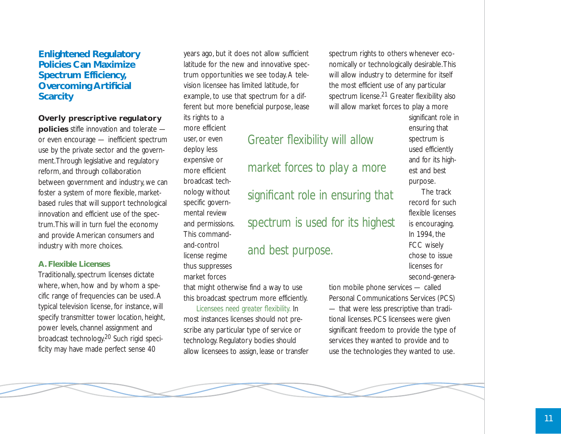#### **Enlightened Regulatory Policies Can Maximize Spectrum Efficiency, Overcoming Artificial Scarcity**

#### **Overly prescriptive regulatory**

**policies** stifle innovation and tolerate or even encourage — inefficient spectrum use by the private sector and the government.Through legislative and regulatory reform, and through collaboration between government and industry, we can foster a system of more flexible, marketbased rules that will support technological innovation and efficient use of the spectrum.This will in turn fuel the economy and provide American consumers and industry with more choices.

#### **A. Flexible Licenses**

Traditionally, spectrum licenses dictate where, when, how and by whom a specific range of frequencies can be used. A typical television license, for instance, will specify transmitter tower location, height, power levels, channel assignment and broadcast technology.20 Such rigid specificity may have made perfect sense 40

years ago, but it does not allow sufficient latitude for the new and innovative spectrum opportunities we see today. A television licensee has limited latitude, for example, to use that spectrum for a different but more beneficial purpose, lease its rights to a

*Greater flexibility will allow*

*market forces to play a more*

*significant role in ensuring that*

*spectrum is used for its highest*

*and best purpose.*

more efficient user, or even deploy less expensive or more efficient broadcast technology without specific governmental review and permissions. This commandand-control license regime thus suppresses market forces

that might otherwise find a way to use this broadcast spectrum more efficiently.

*Licensees need greater flexibility.* In most instances licenses should not prescribe any particular type of service or technology. Regulatory bodies should allow licensees to assign, lease or transfer spectrum rights to others whenever economically or technologically desirable.This will allow industry to determine for itself the most efficient use of any particular spectrum license.<sup>21</sup> Greater flexibility also will allow market forces to play a more

> significant role in ensuring that spectrum is used efficiently and for its highest and best purpose.

The track record for such flexible licenses is encouraging. In 1994, the FCC wisely chose to issue licenses for second-genera-

tion mobile phone services — called Personal Communications Services (PCS) — that were less prescriptive than traditional licenses. PCS licensees were given significant freedom to provide the type of services they wanted to provide and to use the technologies they wanted to use.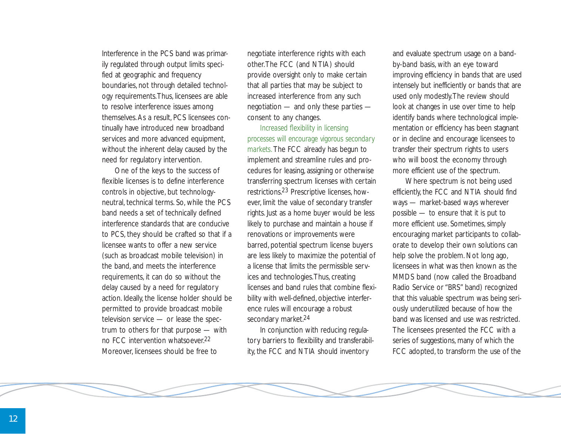Interference in the PCS band was primarily regulated through output limits specified at geographic and frequency boundaries, not through detailed technology requirements.Thus, licensees are able to resolve interference issues among themselves. As a result, PCS licensees continually have introduced new broadband services and more advanced equipment, without the inherent delay caused by the need for regulatory intervention.

One of the keys to the success of flexible licenses is to define interference controls in objective, but technologyneutral, technical terms. So, while the PCS band needs a set of technically defined interference standards that are conducive to PCS, they should be crafted so that if a licensee wants to offer a new service (such as broadcast mobile television) in the band, and meets the interference requirements, it can do so without the delay caused by a need for regulatory action. Ideally, the license holder should be permitted to provide broadcast mobile television service — or lease the spectrum to others for that purpose — with no FCC intervention whatsoever.22 Moreover, licensees should be free to

negotiate interference rights with each other.The FCC (and NTIA) should provide oversight only to make certain that all parties that may be subject to increased interference from any such negotiation — and only these parties consent to any changes.

*Increased flexibility in licensing processes will encourage vigorous secondary markets.* The FCC already has begun to implement and streamline rules and procedures for leasing, assigning or otherwise transferring spectrum licenses with certain restrictions.23 Prescriptive licenses, however, limit the value of secondary transfer rights. Just as a home buyer would be less likely to purchase and maintain a house if renovations or improvements were barred, potential spectrum license buyers are less likely to maximize the potential of a license that limits the permissible services and technologies.Thus, creating licenses and band rules that combine flexibility with well-defined, objective interference rules will encourage a robust secondary market.<sup>24</sup>

In conjunction with reducing regulatory barriers to flexibility and transferability, the FCC and NTIA should inventory

and evaluate spectrum usage on a bandby-band basis, with an eye toward improving efficiency in bands that are used intensely but inefficiently or bands that are used only modestly.The review should look at changes in use over time to help identify bands where technological implementation or efficiency has been stagnant or in decline and encourage licensees to transfer their spectrum rights to users who will boost the economy through more efficient use of the spectrum.

Where spectrum is not being used efficiently, the FCC and NTIA should find ways — market-based ways wherever possible — to ensure that it is put to more efficient use. Sometimes, simply encouraging market participants to collaborate to develop their own solutions can help solve the problem. Not long ago, licensees in what was then known as the MMDS band (now called the Broadband Radio Service or "BRS" band) recognized that this valuable spectrum was being seriously underutilized because of how the band was licensed and use was restricted. The licensees presented the FCC with a series of suggestions, many of which the FCC adopted, to transform the use of the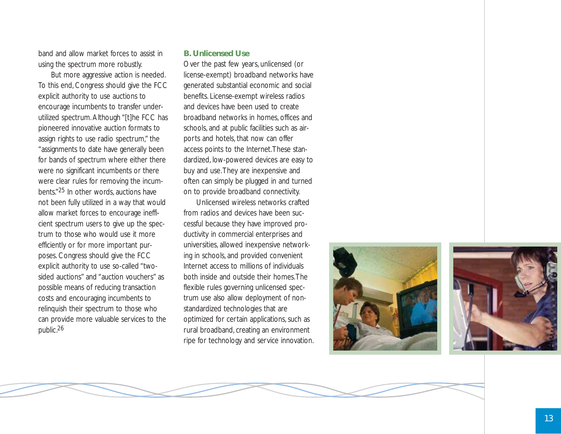band and allow market forces to assist in using the spectrum more robustly.

But more aggressive action is needed. To this end, Congress should give the FCC explicit authority to use auctions to encourage incumbents to transfer underutilized spectrum. Although "[t]he FCC has pioneered innovative auction formats to assign rights to use radio spectrum," the "assignments to date have generally been for bands of spectrum where either there were no significant incumbents or there were clear rules for removing the incumbents."25 In other words, auctions have not been fully utilized in a way that would allow market forces to encourage inefficient spectrum users to give up the spectrum to those who would use it more efficiently or for more important purposes. Congress should give the FCC explicit authority to use so-called "twosided auctions" and "auction vouchers" as possible means of reducing transaction costs and encouraging incumbents to relinquish their spectrum to those who can provide more valuable services to the public.26

#### **B. Unlicensed Use**

Over the past few years, unlicensed (or license-exempt) broadband networks have generated substantial economic and social benefits. License-exempt wireless radios and devices have been used to create broadband networks in homes, offices and schools, and at public facilities such as airports and hotels, that now can offer access points to the Internet.These standardized, low-powered devices are easy to buy and use.They are inexpensive and often can simply be plugged in and turned on to provide broadband connectivity.

Unlicensed wireless networks crafted from radios and devices have been successful because they have improved productivity in commercial enterprises and universities, allowed inexpensive networking in schools, and provided convenient Internet access to millions of individuals both inside and outside their homes.The flexible rules governing unlicensed spectrum use also allow deployment of nonstandardized technologies that are optimized for certain applications, such as rural broadband, creating an environment ripe for technology and service innovation.



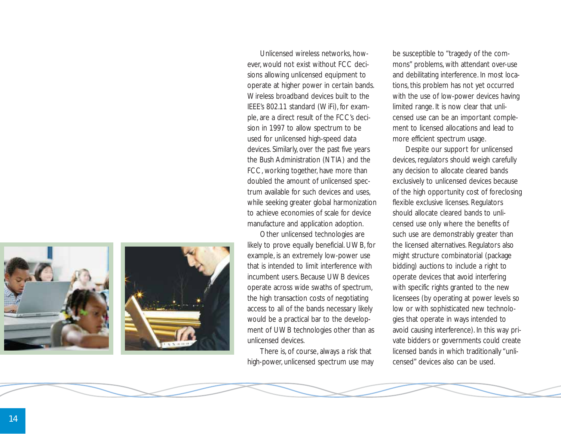



Unlicensed wireless networks, however, would not exist without FCC decisions allowing unlicensed equipment to operate at higher power in certain bands. Wireless broadband devices built to the IEEE's 802.11 standard (WiFi), for example, are a direct result of the FCC's decision in 1997 to allow spectrum to be used for unlicensed high-speed data devices. Similarly, over the past five years the Bush Administration (NTIA) and the FCC, working together, have more than doubled the amount of unlicensed spectrum available for such devices and uses, while seeking greater global harmonization to achieve economies of scale for device manufacture and application adoption.

Other unlicensed technologies are likely to prove equally beneficial. UWB, for example, is an extremely low-power use that is intended to limit interference with incumbent users. Because UWB devices operate across wide swaths of spectrum, the high transaction costs of negotiating access to all of the bands necessary likely would be a practical bar to the development of UWB technologies other than as unlicensed devices.

There is, of course, always a risk that high-power, unlicensed spectrum use may

be susceptible to "tragedy of the commons" problems, with attendant over-use and debilitating interference. In most locations, this problem has not yet occurred with the use of low-power devices having limited range. It is now clear that unlicensed use can be an important complement to licensed allocations and lead to more efficient spectrum usage.

Despite our support for unlicensed devices, regulators should weigh carefully any decision to allocate cleared bands exclusively to unlicensed devices because of the high opportunity cost of foreclosing flexible exclusive licenses. Regulators should allocate cleared bands to unlicensed use only where the benefits of such use are demonstrably greater than the licensed alternatives. Regulators also might structure combinatorial (package bidding) auctions to include a right to operate devices that avoid interfering with specific rights granted to the new licensees (by operating at power levels so low or with sophisticated new technologies that operate in ways intended to avoid causing interference). In this way private bidders or governments could create licensed bands in which traditionally "unlicensed" devices also can be used.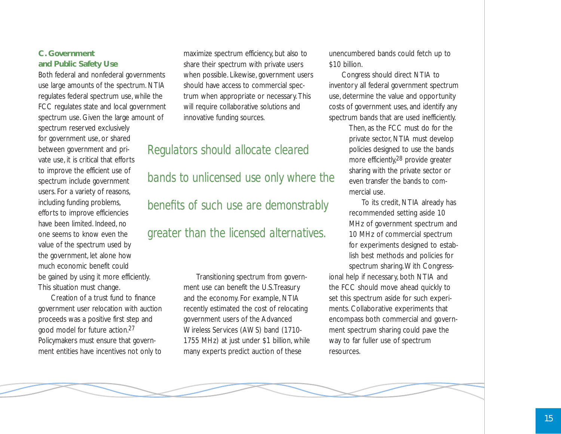#### **C. Government and Public Safety Use**

Both federal and nonfederal governments use large amounts of the spectrum. NTIA regulates federal spectrum use, while the FCC regulates state and local government spectrum use. Given the large amount of spectrum reserved exclusively for government use, or shared between government and private use, it is critical that efforts to improve the efficient use of spectrum include government users. For a variety of reasons, including funding problems, efforts to improve efficiencies have been limited. Indeed, no one seems to know even the value of the spectrum used by the government, let alone how much economic benefit could be gained by using it more efficiently. This situation must change.

Creation of a trust fund to finance government user relocation with auction proceeds was a positive first step and good model for future action.27 Policymakers must ensure that government entities have incentives not only to maximize spectrum efficiency, but also to share their spectrum with private users when possible. Likewise, government users should have access to commercial spectrum when appropriate or necessary. This will require collaborative solutions and innovative funding sources.

## *Regulators should allocate cleared*

*bands to unlicensed use only where the benefits of such use are demonstrably*

## *greater than the licensed alternatives.*

Transitioning spectrum from government use can benefit the U.S.Treasury and the economy. For example, NTIA recently estimated the cost of relocating government users of the Advanced Wireless Services (AWS) band (1710- 1755 MHz) at just under \$1 billion, while many experts predict auction of these

unencumbered bands could fetch up to \$10 billion.

Congress should direct NTIA to inventory all federal government spectrum use, determine the value and opportunity costs of government uses, and identify any spectrum bands that are used inefficiently.

> Then, as the FCC must do for the private sector, NTIA must develop policies designed to use the bands more efficiently,<sup>28</sup> provide greater sharing with the private sector or even transfer the bands to commercial use.

To its credit, NTIA already has recommended setting aside 10 MHz of government spectrum and 10 MHz of commercial spectrum for experiments designed to establish best methods and policies for spectrum sharing.With Congressional help if necessary, both NTIA and the FCC should move ahead quickly to set this spectrum aside for such experiments. Collaborative experiments that encompass both commercial and government spectrum sharing could pave the way to far fuller use of spectrum resources.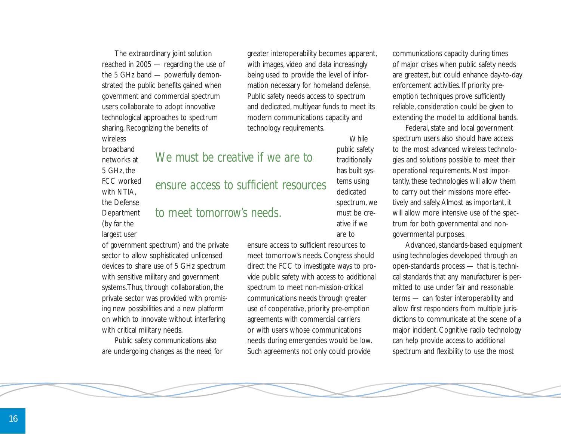The extraordinary joint solution reached in 2005 — regarding the use of the 5 GHz band — powerfully demonstrated the public benefits gained when government and commercial spectrum users collaborate to adopt innovative technological approaches to spectrum sharing. Recognizing the benefits of wireless

broadband networks at 5 GHz, the FCC worked with NTIA. the Defense **Department** (by far the largest user

greater interoperability becomes apparent, with images, video and data increasingly being used to provide the level of information necessary for homeland defense. Public safety needs access to spectrum and dedicated, multiyear funds to meet its modern communications capacity and technology requirements.

## *We must be creative if we are to*

## *ensure access to sufficient resources*

## *to meet tomorrow's needs.*

spectrum, we must be creative if we are to

**While** public safety traditionally has built systems using dedicated

of government spectrum) and the private sector to allow sophisticated unlicensed devices to share use of 5 GHz spectrum with sensitive military and government systems.Thus, through collaboration, the private sector was provided with promising new possibilities and a new platform on which to innovate without interfering with critical military needs.

Public safety communications also are undergoing changes as the need for

ensure access to sufficient resources to meet tomorrow's needs. Congress should direct the FCC to investigate ways to provide public safety with access to additional spectrum to meet non-mission-critical communications needs through greater use of cooperative, priority pre-emption agreements with commercial carriers or with users whose communications needs during emergencies would be low. Such agreements not only could provide

communications capacity during times of major crises when public safety needs are greatest, but could enhance day-to-day enforcement activities. If priority preemption techniques prove sufficiently reliable, consideration could be given to extending the model to additional bands.

Federal, state and local government spectrum users also should have access to the most advanced wireless technologies and solutions possible to meet their operational requirements. Most importantly, these technologies will allow them to carry out their missions more effectively and safely. Almost as important, it will allow more intensive use of the spectrum for both governmental and nongovernmental purposes.

Advanced, standards-based equipment using technologies developed through an open-standards process — that is, technical standards that any manufacturer is permitted to use under fair and reasonable terms — can foster interoperability and allow first responders from multiple jurisdictions to communicate at the scene of a major incident. Cognitive radio technology can help provide access to additional spectrum and flexibility to use the most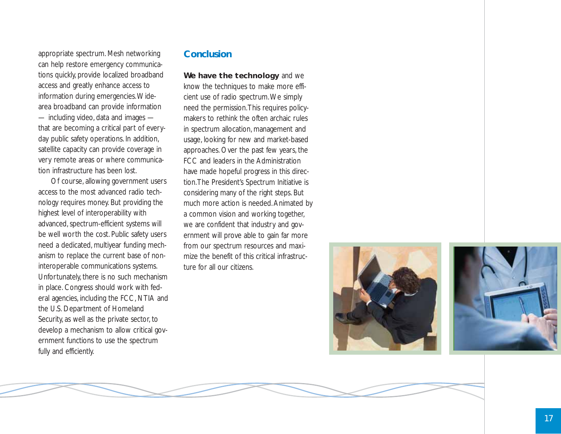appropriate spectrum. Mesh networking can help restore emergency communications quickly, provide localized broadband access and greatly enhance access to information during emergencies.Widearea broadband can provide information — including video, data and images that are becoming a critical part of everyday public safety operations. In addition, satellite capacity can provide coverage in very remote areas or where communication infrastructure has been lost.

Of course, allowing government users access to the most advanced radio technology requires money. But providing the highest level of interoperability with advanced, spectrum-efficient systems will be well worth the cost. Public safety users need a dedicated, multiyear funding mechanism to replace the current base of noninteroperable communications systems. Unfortunately, there is no such mechanism in place. Congress should work with federal agencies, including the FCC, NTIA and the U.S. Department of Homeland Security, as well as the private sector, to develop a mechanism to allow critical government functions to use the spectrum fully and efficiently.

### **Conclusion**

**We have the technology** and we know the techniques to make more efficient use of radio spectrum.We simply need the permission.This requires policymakers to rethink the often archaic rules in spectrum allocation, management and usage, looking for new and market-based approaches. Over the past few years, the FCC and leaders in the Administration have made hopeful progress in this direction.The President's Spectrum Initiative is considering many of the right steps. But much more action is needed. Animated by a common vision and working together, we are confident that industry and government will prove able to gain far more from our spectrum resources and maximize the benefit of this critical infrastructure for all our citizens.



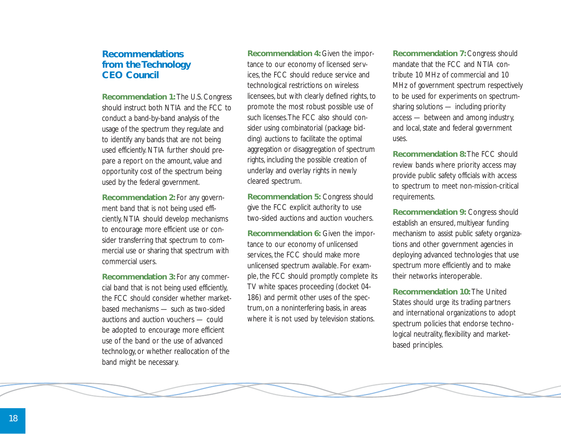#### **Recommendations from the Technology CEO Council**

**Recommendation 1:** The U.S. Congress should instruct both NTIA and the FCC to conduct a band-by-band analysis of the usage of the spectrum they regulate and to identify any bands that are not being used efficiently. NTIA further should prepare a report on the amount, value and opportunity cost of the spectrum being used by the federal government.

**Recommendation 2:** For any government band that is not being used efficiently, NTIA should develop mechanisms to encourage more efficient use or consider transferring that spectrum to commercial use or sharing that spectrum with commercial users.

**Recommendation 3:** For any commercial band that is not being used efficiently, the FCC should consider whether marketbased mechanisms — such as two-sided auctions and auction vouchers — could be adopted to encourage more efficient use of the band or the use of advanced technology, or whether reallocation of the band might be necessary.

**Recommendation 4:** Given the importance to our economy of licensed services, the FCC should reduce service and technological restrictions on wireless licensees, but with clearly defined rights, to promote the most robust possible use of such licenses.The FCC also should consider using combinatorial (package bidding) auctions to facilitate the optimal aggregation or disaggregation of spectrum rights, including the possible creation of underlay and overlay rights in newly cleared spectrum.

**Recommendation 5:** Congress should give the FCC explicit authority to use two-sided auctions and auction vouchers.

**Recommendation 6:** Given the importance to our economy of unlicensed services, the FCC should make more unlicensed spectrum available. For example, the FCC should promptly complete its TV white spaces proceeding (docket 04- 186) and permit other uses of the spectrum, on a noninterfering basis, in areas where it is not used by television stations.

**Recommendation 7:** Congress should mandate that the FCC and NTIA contribute 10 MHz of commercial and 10 MHz of government spectrum respectively to be used for experiments on spectrumsharing solutions — including priority access — between and among industry, and local, state and federal government uses.

**Recommendation 8:** The FCC should review bands where priority access may provide public safety officials with access to spectrum to meet non-mission-critical requirements.

**Recommendation 9:** Congress should establish an ensured, multiyear funding mechanism to assist public safety organizations and other government agencies in deploying advanced technologies that use spectrum more efficiently and to make their networks interoperable.

**Recommendation 10:** The United States should urge its trading partners and international organizations to adopt spectrum policies that endorse technological neutrality, flexibility and marketbased principles.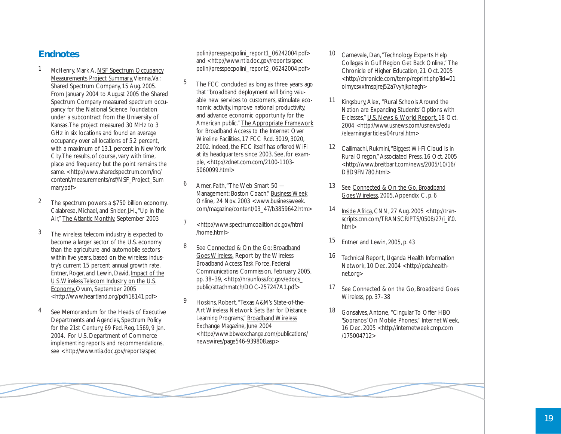### **Endnotes**

- McHenry, Mark A. NSF Spectrum Occupancy <u>Measurements Project Summary</u>, Vienna, Va.: Shared Spectrum Company, 15 Aug. 2005. From January 2004 to August 2005 the Shared Spectrum Company measured spectrum occupancy for the National Science Foundation under a subcontract from the University of Kansas.The project measured 30 MHz to 3 GHz in six locations and found an average occupancy over all locations of 5.2 percent, with a maximum of 13.1 percent in New York City.The results, of course, vary with time, place and frequency but the point remains the same. <http://www.sharedspectrum.com/inc/ content/measurements/nsf/NSF\_Project\_Sum mary.pdf>
- 2 The spectrum powers a \$750 billion economy. Calabrese, Michael, and Snider, J.H.,"Up in the Air," The Atlantic Monthly, September 2003
- 3 The wireless telecom industry is expected to become a larger sector of the U.S. economy than the agriculture and automobile sectors within five years, based on the wireless industry's current 15 percent annual growth rate. Entner, Roger, and Lewin, David, Impact of the U.S.Wireless Telecom Industry on the U.S. Economy\_Ovum, September 2005 <http://www.heartland.org/pdf/18141.pdf>
- See Memorandum for the Heads of Executive Departments and Agencies, Spectrum Policy for the 21st Century, 69 Fed. Reg. 1569, 9 Jan. 2004. For U.S. Department of Commerce implementing reports and recommendations, see <http://www.ntia.doc.gov/reports/spec

polini/presspecpolini\_report1\_06242004.pdf> and <http://www.ntia.doc.gov/reports/spec polini/presspecpolini\_report2\_06242004.pdf>

- 5 The FCC concluded as long as three years ago that "broadband deployment will bring valuable new services to customers, stimulate economic activity, improve national productivity, and advance economic opportunity for the American public." The Appropriate Framework for Broadband Access to the Internet Over Wireline Facilities, 17 FCC Rcd. 3019, 3020, 2002. Indeed, the FCC itself has offered WiFi at its headquarters since 2003. See, for example, <http://zdnet.com.com/2100-1103- 5060099.html>
- 6 Arner, Faith,"The Web Smart 50 Management: Boston Coach," Business Week Online , 24 Nov. 2003 <www.businessweek. com/magazine/content/03\_47/b3859642.htm>
- 7 <http://www.spectrumcoalition.dc.gov/html /home.html>
- 8 See Connected & On the Go: Broadband Goes Wireless, Report by the Wireless Broadband Access Task Force, Federal Communications Commission, February 2005, pp. 38–39, <http://hraunfoss.fcc.gov/edocs\_ public/attachmatch/DOC-257247A1.pdf>
- 9 Hoskins, Robert,"Texas A&M's State-of-the-Art Wireless Network Sets Bar for Distance Learning Programs," Broadband Wireless Exchange Magazine *,* June 2004 <http://www.bbwexchange.com/publications/ newswires/page546-939808.asp>
- 10 Carnevale, Dan, "Technology Experts Help Colleges in Gulf Region Get Back Online," The Chronicle of Higher Education *,* 21 Oct. 2005 <http://chronicle.com/temp/reprint.php?id=01 olmycsxxfmspjrej52a7vyhjkphagh>
- 11 Kingsbury, Alex, "Rural Schools Around the Nation are Expanding Students' Options with E-classes," <u>U.S. News & World Report,</u> 18 Oct. 2004 <http://www.usnews.com/usnews/edu /elearning/articles/04rural.htm>
- 12 Callimachi, Rukmini,"Biggest Wi-Fi Cloud Is in Rural Oregon," Associated Press, 16 Oct. 2005 <http://www.breitbart.com/news/2005/10/16/ D8D9FN780.html>
- 13 See Connected & On the Go, Broadband Goes Wireless, 2005, Appendix C, p. 6
- 14 Inside Africa *,* CNN, 27 Aug. 2005 <http://transcripts.cnn.com/TRANSCRIPTS/0508/27/i\_if.0. html>
- 15 Entner and Lewin, 2005, p. 43
- 16 Technical Report, Uganda Health Information Network, 10 Dec. 2004 <http://pda.healthnet.org>
- 17 See Connected & on the Go, Broadband Goes Wireless, pp. 37–38
- 18 Gonsalves, Antone, "Cingular To Offer HBO 'Sopranos' On Mobile Phones," Internet Week, 16 Dec. 2005 <http://internetweek.cmp.com /175004712>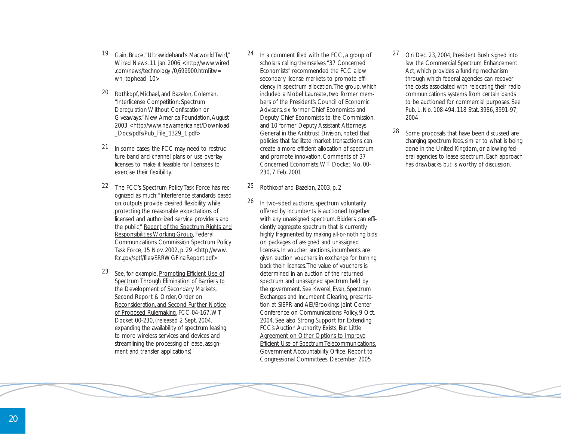- 19 Gain, Bruce,"Ultrawideband's Macworld Twirl," Wired News, 11 Jan. 2006 <http://www.wired .com/news/technology /0,699900.html?tw= wn\_tophead\_10>
- 20 Rothkopf, Michael, and Bazelon, Coleman, "Interlicense Competition: Spectrum Deregulation Without Confiscation or Giveaways," New America Foundation, August 2003 <http://www.newamerica.net/Download \_Docs/pdfs/Pub\_File\_1329\_1.pdf>
- 21 In some cases, the FCC may need to restructure band and channel plans or use overlay licenses to make it feasible for licensees to exercise their flexibility.
- 22 The FCC's Spectrum Policy Task Force has recognized as much:"Interference standards based on outputs provide desired flexibility while protecting the reasonable expectations of licensed and authorized service providers and the public," Report of the Spectrum Rights and Responsibilities Working Group, Federal Communications Commission Spectrum Policy Task Force, 15 Nov. 2002, p. 29 <http://www. fcc.gov/sptf/files/SRRWGFinalReport.pdf>
- 23 See, for example, Promoting Efficient Use of Spectrum Through Elimination of Barriers to the Development of Secondary Markets, Second Report & Order, Order on Reconsideration, and Second Further Notice of Proposed Rulemaking, FCC 04-167,WT Docket 00-230, (released 2 Sept. 2004, expanding the availability of spectrum leasing to more wireless services and devices and streamlining the processing of lease, assignment and transfer applications)
- 24 In a comment filed with the FCC, a group of scholars calling themselves "37 Concerned Economists" recommended the FCC allow secondary license markets to promote efficiency in spectrum allocation.The group, which included a Nobel Laureate, two former members of the President's Council of Economic Advisors, six former Chief Economists and Deputy Chief Economists to the Commission, and 10 former Deputy Assistant Attorneys General in the Antitrust Division, noted that policies that facilitate market transactions can create a more efficient allocation of spectrum and promote innovation. Comments of 37 Concerned Economists,WT Docket No. 00- 230, 7 Feb. 2001
- 25 Rothkopf and Bazelon, 2003, p. 2
- 26 In two-sided auctions, spectrum voluntarily offered by incumbents is auctioned together with any unassigned spectrum. Bidders can efficiently aggregate spectrum that is currently highly fragmented by making all-or-nothing bids on packages of assigned and unassigned licenses. In voucher auctions, incumbents are given auction vouchers in exchange for turning back their licenses.The value of vouchers is determined in an auction of the returned spectrum and unassigned spectrum held by the government. See Kwerel*,* Evan, Spectrum Exchanges and Incumbent Clearing*,* presentation at SIEPR and AEI/Brookings Joint Center Conference on Communications Policy, 9 Oct. 2004. See also Strong Support for Extending FCC's Auction Authority Exists, But Little Agreement on Other Options to Improve Efficient Use of Spectrum Telecommunications, Government Accountability Office, Report to Congressional Committees, December 2005
- 27 On Dec. 23, 2004, President Bush signed into law the Commercial Spectrum Enhancement Act, which provides a funding mechanism through which federal agencies can recover the costs associated with relocating their radio communications systems from certain bands to be auctioned for commercial purposes. See Pub. L. No. 108-494, 118 Stat. 3986, 3991-97, 2004
- 28 Some proposals that have been discussed are charging spectrum fees, similar to what is being done in the United Kingdom, or allowing federal agencies to lease spectrum. Each approach has drawbacks but is worthy of discussion.